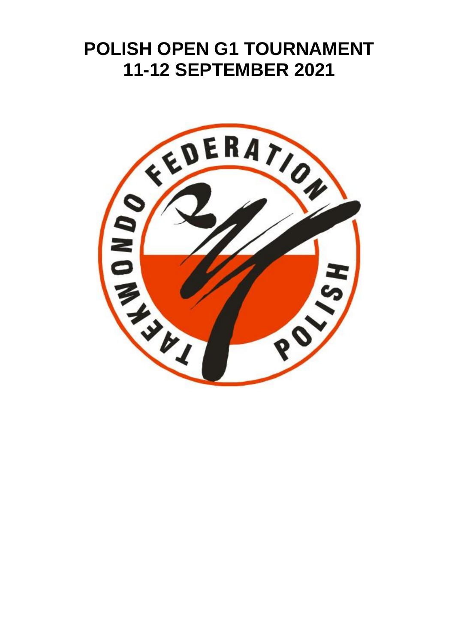# **POLISH OPEN G1 TOURNAMENT 11-12 SEPTEMBER 2021**

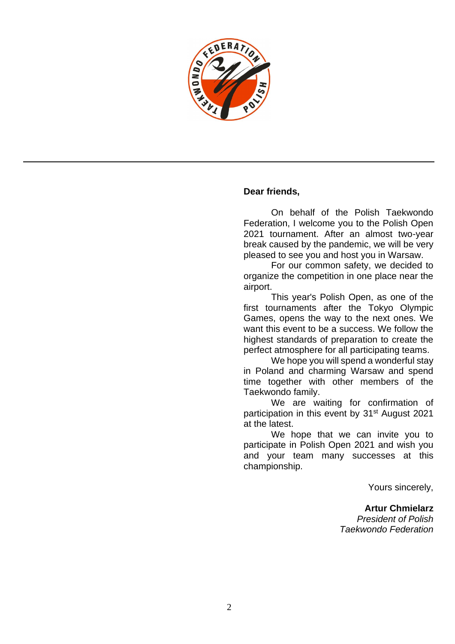

#### **Dear friends,**

On behalf of the Polish Taekwondo Federation, I welcome you to the Polish Open 2021 tournament. After an almost two-year break caused by the pandemic, we will be very pleased to see you and host you in Warsaw.

For our common safety, we decided to organize the competition in one place near the airport.

This year's Polish Open, as one of the first tournaments after the Tokyo Olympic Games, opens the way to the next ones. We want this event to be a success. We follow the highest standards of preparation to create the perfect atmosphere for all participating teams.

We hope you will spend a wonderful stay in Poland and charming Warsaw and spend time together with other members of the Taekwondo family.

We are waiting for confirmation of participation in this event by 31<sup>st</sup> August 2021 at the latest.

We hope that we can invite you to participate in Polish Open 2021 and wish you and your team many successes at this championship.

Yours sincerely,

**Artur Chmielarz** *President of Polish Taekwondo Federation*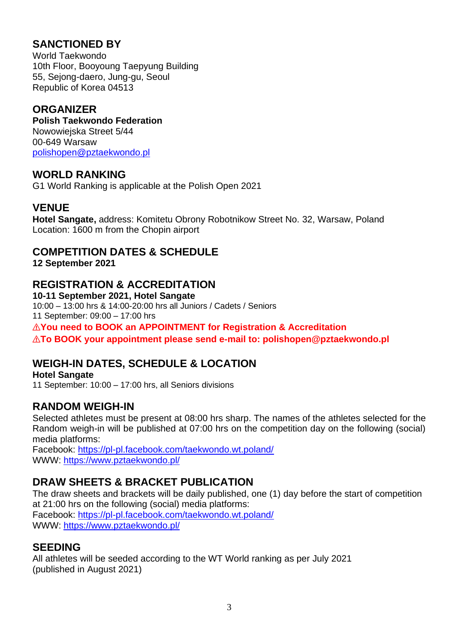# **SANCTIONED BY**

World Taekwondo 10th Floor, Booyoung Taepyung Building 55, Sejong-daero, Jung-gu, Seoul Republic of Korea 04513

# **ORGANIZER**

**Polish Taekwondo Federation** Nowowiejska Street 5/44 00-649 Warsaw [polishopen@pztaekwondo.pl](mailto:polishopen@pztaekwondo.pl)

### **WORLD RANKING**

G1 World Ranking is applicable at the Polish Open 2021

## **VENUE**

**Hotel Sangate,** address: Komitetu Obrony Robotnikow Street No. 32, Warsaw, Poland Location: 1600 m from the Chopin airport

## **COMPETITION DATES & SCHEDULE**

**12 September 2021**

## **REGISTRATION & ACCREDITATION**

**10-11 September 2021, Hotel Sangate** 10:00 – 13:00 hrs & 14:00-20:00 hrs all Juniors / Cadets / Seniors 11 September: 09:00 – 17:00 hrs ⚠**You need to BOOK an APPOINTMENT for Registration & Accreditation** ⚠**To BOOK your appointment please send e-mail to: polishopen@pztaekwondo.pl**

# **WEIGH-IN DATES, SCHEDULE & LOCATION**

**Hotel Sangate** 11 September: 10:00 – 17:00 hrs, all Seniors divisions

## **RANDOM WEIGH-IN**

Selected athletes must be present at 08:00 hrs sharp. The names of the athletes selected for the Random weigh-in will be published at 07:00 hrs on the competition day on the following (social) media platforms:

Facebook:<https://pl-pl.facebook.com/taekwondo.wt.poland/> WWW: <https://www.pztaekwondo.pl/>

## **DRAW SHEETS & BRACKET PUBLICATION**

The draw sheets and brackets will be daily published, one (1) day before the start of competition at 21:00 hrs on the following (social) media platforms: Facebook:<https://pl-pl.facebook.com/taekwondo.wt.poland/> WWW:<https://www.pztaekwondo.pl/>

## **SEEDING**

All athletes will be seeded according to the WT World ranking as per July 2021 (published in August 2021)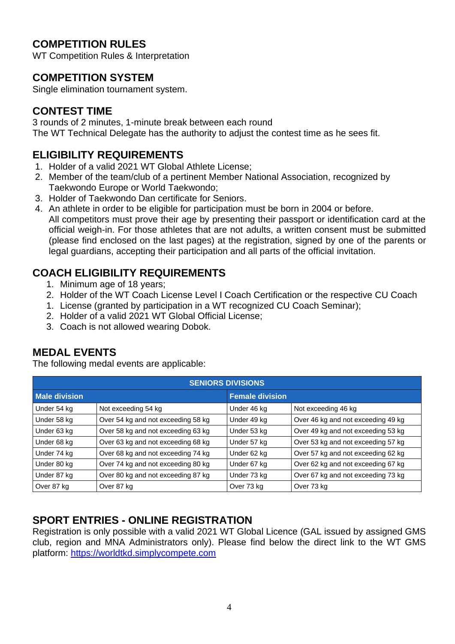# **COMPETITION RULES**

WT Competition Rules & Interpretation

## **COMPETITION SYSTEM**

Single elimination tournament system.

# **CONTEST TIME**

3 rounds of 2 minutes, 1-minute break between each round The WT Technical Delegate has the authority to adjust the contest time as he sees fit.

# **ELIGIBILITY REQUIREMENTS**

- 1. Holder of a valid 2021 WT Global Athlete License;
- 2. Member of the team/club of a pertinent Member National Association, recognized by Taekwondo Europe or World Taekwondo;
- 3. Holder of Taekwondo Dan certificate for Seniors.
- 4. An athlete in order to be eligible for participation must be born in 2004 or before. All competitors must prove their age by presenting their passport or identification card at the official weigh-in. For those athletes that are not adults, a written consent must be submitted (please find enclosed on the last pages) at the registration, signed by one of the parents or legal guardians, accepting their participation and all parts of the official invitation.

# **COACH ELIGIBILITY REQUIREMENTS**

- 1. Minimum age of 18 years;
- 2. Holder of the WT Coach License Level I Coach Certification or the respective CU Coach
- 1. License (granted by participation in a WT recognized CU Coach Seminar);
- 2. Holder of a valid 2021 WT Global Official License;
- 3. Coach is not allowed wearing Dobok.

# **MEDAL EVENTS**

The following medal events are applicable:

| <b>SENIORS DIVISIONS</b> |                                    |                        |                                    |  |  |
|--------------------------|------------------------------------|------------------------|------------------------------------|--|--|
| <b>Male division</b>     |                                    | <b>Female division</b> |                                    |  |  |
| Under 54 kg              | Not exceeding 54 kg                | Under 46 kg            | Not exceeding 46 kg                |  |  |
| Under 58 kg              | Over 54 kg and not exceeding 58 kg | Under 49 kg            | Over 46 kg and not exceeding 49 kg |  |  |
| Under 63 kg              | Over 58 kg and not exceeding 63 kg | Under 53 kg            | Over 49 kg and not exceeding 53 kg |  |  |
| Under 68 kg              | Over 63 kg and not exceeding 68 kg | Under 57 kg            | Over 53 kg and not exceeding 57 kg |  |  |
| Under 74 kg              | Over 68 kg and not exceeding 74 kg | Under 62 kg            | Over 57 kg and not exceeding 62 kg |  |  |
| Under 80 kg              | Over 74 kg and not exceeding 80 kg | Under 67 kg            | Over 62 kg and not exceeding 67 kg |  |  |
| Under 87 kg              | Over 80 kg and not exceeding 87 kg | Under 73 kg            | Over 67 kg and not exceeding 73 kg |  |  |
| Over 87 kg               | Over 87 kg                         | Over 73 kg             | Over 73 kg                         |  |  |

# **SPORT ENTRIES - ONLINE REGISTRATION**

Registration is only possible with a valid 2021 WT Global Licence (GAL issued by assigned GMS club, region and MNA Administrators only). Please find below the direct link to the WT GMS platform: [https://worldtkd.simplycompete.com](https://worldtkd.simplycompete.com/)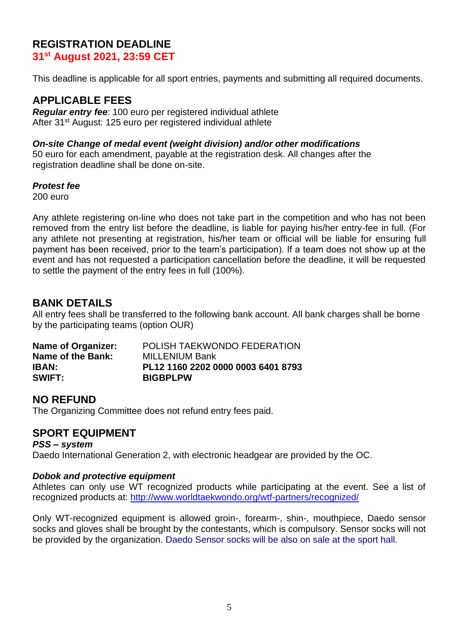### **REGISTRATION DEADLINE**

**31st August 2021, 23:59 CET**

This deadline is applicable for all sport entries, payments and submitting all required documents.

### **APPLICABLE FEES**

*Regular entry fee*: 100 euro per registered individual athlete After 31<sup>st</sup> August: 125 euro per registered individual athlete

#### *On-site Change of medal event (weight division) and/or other modifications*

50 euro for each amendment, payable at the registration desk. All changes after the registration deadline shall be done on-site.

#### *Protest fee*

200 euro

Any athlete registering on-line who does not take part in the competition and who has not been removed from the entry list before the deadline, is liable for paying his/her entry-fee in full. (For any athlete not presenting at registration, his/her team or official will be liable for ensuring full payment has been received, prior to the team's participation). If a team does not show up at the event and has not requested a participation cancellation before the deadline, it will be requested to settle the payment of the entry fees in full (100%).

### **BANK DETAILS**

All entry fees shall be transferred to the following bank account. All bank charges shall be borne by the participating teams (option OUR)

| Name of Organizer: | POLISH TAEKWONDO FEDERATION        |
|--------------------|------------------------------------|
| Name of the Bank:  | <b>MILLENIUM Bank</b>              |
| IBAN:              | PL12 1160 2202 0000 0003 6401 8793 |
| <b>SWIFT:</b>      | <b>BIGBPLPW</b>                    |

### **NO REFUND**

The Organizing Committee does not refund entry fees paid.

### **SPORT EQUIPMENT**

*PSS – system* Daedo International Generation 2, with electronic headgear are provided by the OC.

#### *Dobok and protective equipment*

Athletes can only use WT recognized products while participating at the event. See a list of recognized products at:<http://www.worldtaekwondo.org/wtf-partners/recognized/>

Only WT-recognized equipment is allowed groin-, forearm-, shin-, mouthpiece, Daedo sensor socks and gloves shall be brought by the contestants, which is compulsory. Sensor socks will not be provided by the organization. Daedo Sensor socks will be also on sale at the sport hall.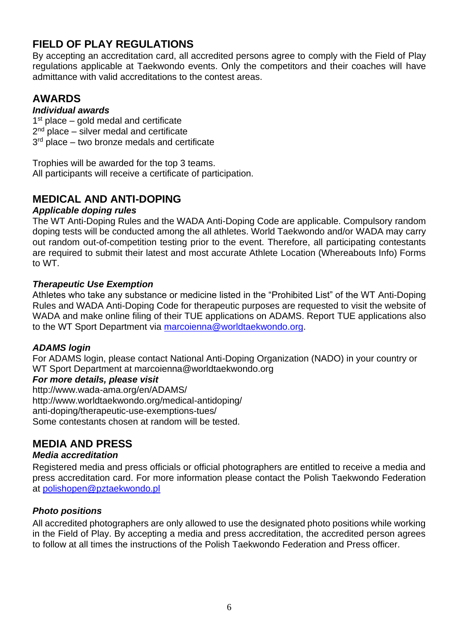# **FIELD OF PLAY REGULATIONS**

By accepting an accreditation card, all accredited persons agree to comply with the Field of Play regulations applicable at Taekwondo events. Only the competitors and their coaches will have admittance with valid accreditations to the contest areas.

# **AWARDS**

### *Individual awards*

1<sup>st</sup> place – gold medal and certificate

2<sup>nd</sup> place – silver medal and certificate

3<sup>rd</sup> place – two bronze medals and certificate

Trophies will be awarded for the top 3 teams. All participants will receive a certificate of participation.

# **MEDICAL AND ANTI-DOPING**

### *Applicable doping rules*

The WT Anti-Doping Rules and the WADA Anti-Doping Code are applicable. Compulsory random doping tests will be conducted among the all athletes. World Taekwondo and/or WADA may carry out random out-of-competition testing prior to the event. Therefore, all participating contestants are required to submit their latest and most accurate Athlete Location (Whereabouts Info) Forms to WT.

### *Therapeutic Use Exemption*

Athletes who take any substance or medicine listed in the "Prohibited List" of the WT Anti-Doping Rules and WADA Anti-Doping Code for therapeutic purposes are requested to visit the website of WADA and make online filing of their TUE applications on ADAMS. Report TUE applications also to the WT Sport Department via [marcoienna@worldtaekwondo.org.](mailto:marcoienna@worldtaekwondo.org)

### *ADAMS login*

For ADAMS login, please contact National Anti-Doping Organization (NADO) in your country or WT Sport Department at marcoienna@worldtaekwondo.org

### *For more details, please visit*

http://www.wada-ama.org/en/ADAMS/ http://www.worldtaekwondo.org/medical-antidoping/ anti-doping/therapeutic-use-exemptions-tues/ Some contestants chosen at random will be tested.

# **MEDIA AND PRESS**

### *Media accreditation*

Registered media and press officials or official photographers are entitled to receive a media and press accreditation card. For more information please contact the Polish Taekwondo Federation at [polishopen@pztaekwondo.pl](mailto:polishopen@pztaekwondo.pl)

### *Photo positions*

All accredited photographers are only allowed to use the designated photo positions while working in the Field of Play. By accepting a media and press accreditation, the accredited person agrees to follow at all times the instructions of the Polish Taekwondo Federation and Press officer.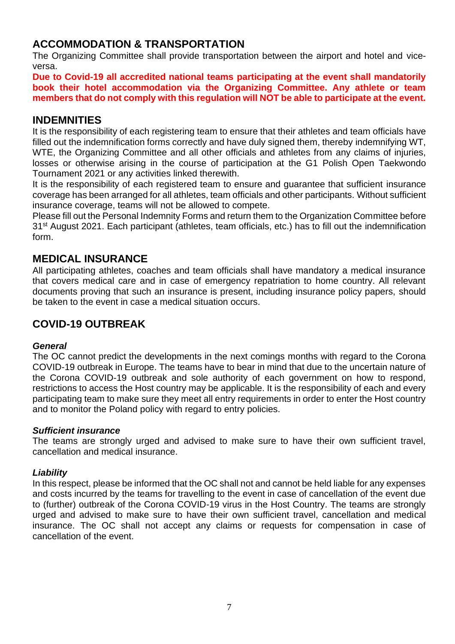## **ACCOMMODATION & TRANSPORTATION**

The Organizing Committee shall provide transportation between the airport and hotel and viceversa.

**Due to Covid-19 all accredited national teams participating at the event shall mandatorily book their hotel accommodation via the Organizing Committee. Any athlete or team members that do not comply with this regulation will NOT be able to participate at the event.**

### **INDEMNITIES**

It is the responsibility of each registering team to ensure that their athletes and team officials have filled out the indemnification forms correctly and have duly signed them, thereby indemnifying WT, WTE, the Organizing Committee and all other officials and athletes from any claims of injuries, losses or otherwise arising in the course of participation at the G1 Polish Open Taekwondo Tournament 2021 or any activities linked therewith.

It is the responsibility of each registered team to ensure and guarantee that sufficient insurance coverage has been arranged for all athletes, team officials and other participants. Without sufficient insurance coverage, teams will not be allowed to compete.

Please fill out the Personal Indemnity Forms and return them to the Organization Committee before 31<sup>st</sup> August 2021. Each participant (athletes, team officials, etc.) has to fill out the indemnification form.

### **MEDICAL INSURANCE**

All participating athletes, coaches and team officials shall have mandatory a medical insurance that covers medical care and in case of emergency repatriation to home country. All relevant documents proving that such an insurance is present, including insurance policy papers, should be taken to the event in case a medical situation occurs.

### **COVID-19 OUTBREAK**

#### *General*

The OC cannot predict the developments in the next comings months with regard to the Corona COVID-19 outbreak in Europe. The teams have to bear in mind that due to the uncertain nature of the Corona COVID-19 outbreak and sole authority of each government on how to respond, restrictions to access the Host country may be applicable. It is the responsibility of each and every participating team to make sure they meet all entry requirements in order to enter the Host country and to monitor the Poland policy with regard to entry policies.

#### *Sufficient insurance*

The teams are strongly urged and advised to make sure to have their own sufficient travel, cancellation and medical insurance.

#### *Liability*

In this respect, please be informed that the OC shall not and cannot be held liable for any expenses and costs incurred by the teams for travelling to the event in case of cancellation of the event due to (further) outbreak of the Corona COVID-19 virus in the Host Country. The teams are strongly urged and advised to make sure to have their own sufficient travel, cancellation and medical insurance. The OC shall not accept any claims or requests for compensation in case of cancellation of the event.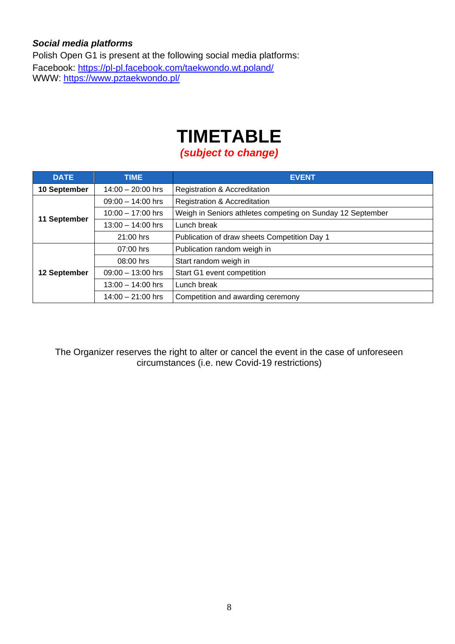### *Social media platforms*

Polish Open G1 is present at the following social media platforms: Facebook:<https://pl-pl.facebook.com/taekwondo.wt.poland/> www.<u>https://www.pztaekwondo.pl/</u>

# **TIMETABLE**

*(subject to change)*

| <b>DATE</b>  | <b>TIME</b>         | <b>EVENT</b>                                               |  |
|--------------|---------------------|------------------------------------------------------------|--|
| 10 September | $14:00 - 20:00$ hrs | Registration & Accreditation                               |  |
| 11 September | $09:00 - 14:00$ hrs | Registration & Accreditation                               |  |
|              | $10:00 - 17:00$ hrs | Weigh in Seniors athletes competing on Sunday 12 September |  |
|              | $13:00 - 14:00$ hrs | Lunch break                                                |  |
|              | 21:00 hrs           | Publication of draw sheets Competition Day 1               |  |
| 12 September | 07:00 hrs           | Publication random weigh in                                |  |
|              | 08:00 hrs           | Start random weigh in                                      |  |
|              | $09:00 - 13:00$ hrs | Start G1 event competition                                 |  |
|              | $13:00 - 14:00$ hrs | Lunch break                                                |  |
|              | $14:00 - 21:00$ hrs | Competition and awarding ceremony                          |  |

The Organizer reserves the right to alter or cancel the event in the case of unforeseen circumstances (i.e. new Covid-19 restrictions)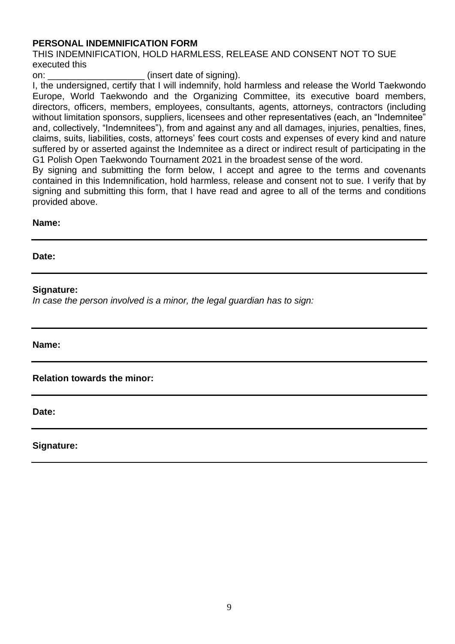#### **PERSONAL INDEMNIFICATION FORM**

THIS INDEMNIFICATION, HOLD HARMLESS, RELEASE AND CONSENT NOT TO SUE executed this

on:  $(insert date of signing)$ .

I, the undersigned, certify that I will indemnify, hold harmless and release the World Taekwondo Europe, World Taekwondo and the Organizing Committee, its executive board members, directors, officers, members, employees, consultants, agents, attorneys, contractors (including without limitation sponsors, suppliers, licensees and other representatives (each, an "Indemnitee" and, collectively, "Indemnitees"), from and against any and all damages, injuries, penalties, fines, claims, suits, liabilities, costs, attorneys' fees court costs and expenses of every kind and nature suffered by or asserted against the Indemnitee as a direct or indirect result of participating in the G1 Polish Open Taekwondo Tournament 2021 in the broadest sense of the word.

By signing and submitting the form below, I accept and agree to the terms and covenants contained in this Indemnification, hold harmless, release and consent not to sue. I verify that by signing and submitting this form, that I have read and agree to all of the terms and conditions provided above.

#### **Name:**

**Date:**

#### **Signature:**

*In case the person involved is a minor, the legal guardian has to sign:*

**Name:**

**Relation towards the minor:**

**Date:**

**Signature:**